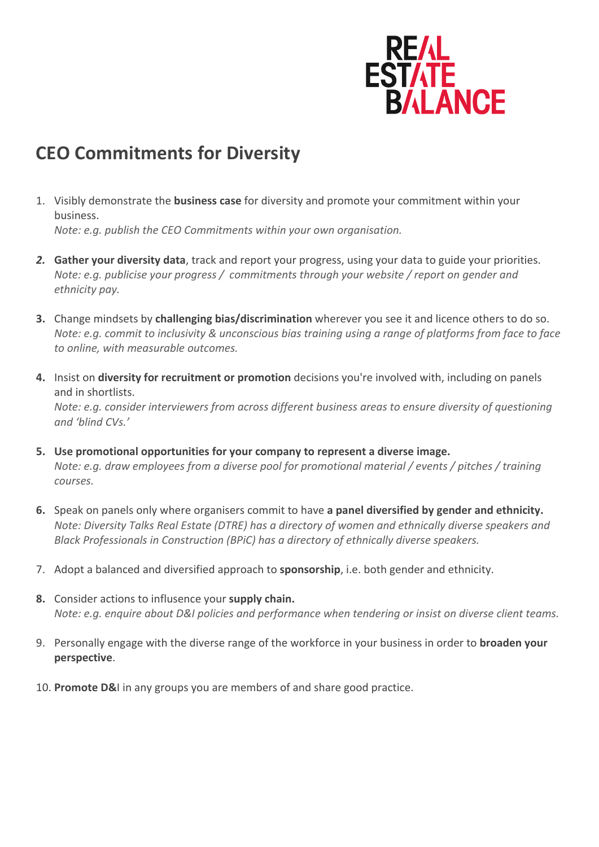

## **CEO Commitments for Diversity**

1. Visibly demonstrate the **business case** for diversity and promote your commitment within your business.

*Note: e.g. publish the CEO Commitments within your own organisation.*

- *2.* **Gather your diversity data**, track and report your progress, using your data to guide your priorities. *Note: e.g. publicise your progress / commitments through your website / report on gender and ethnicity pay.*
- **3.** Change mindsets by **challenging bias/discrimination** wherever you see it and licence others to do so. *Note: e.g. commit to inclusivity & unconscious bias training using a range of platforms from face to face to online, with measurable outcomes.*
- **4.** Insist on **diversity for recruitment or promotion** decisions you're involved with, including on panels and in shortlists.

*Note: e.g. consider interviewers from across different business areas to ensure diversity of questioning and 'blind CVs.'*

- **5. Use promotional opportunities for your company to represent a diverse image.** *Note: e.g. draw employees from a diverse pool for promotional material / events / pitches / training courses.*
- **6.** Speak on panels only where organisers commit to have **a panel diversified by gender and ethnicity.** *Note: Diversity Talks Real Estate (DTRE) has a directory of women and ethnically diverse speakers and Black Professionals in Construction (BPiC) has a directory of ethnically diverse speakers.*
- 7. Adopt a balanced and diversified approach to **sponsorship**, i.e. both gender and ethnicity.
- **8.** Consider actions to influsence your **supply chain.** *Note: e.g. enquire about D&I policies and performance when tendering or insist on diverse client teams.*
- 9. Personally engage with the diverse range of the workforce in your business in order to **broaden your perspective**.
- 10. **Promote D&**I in any groups you are members of and share good practice.